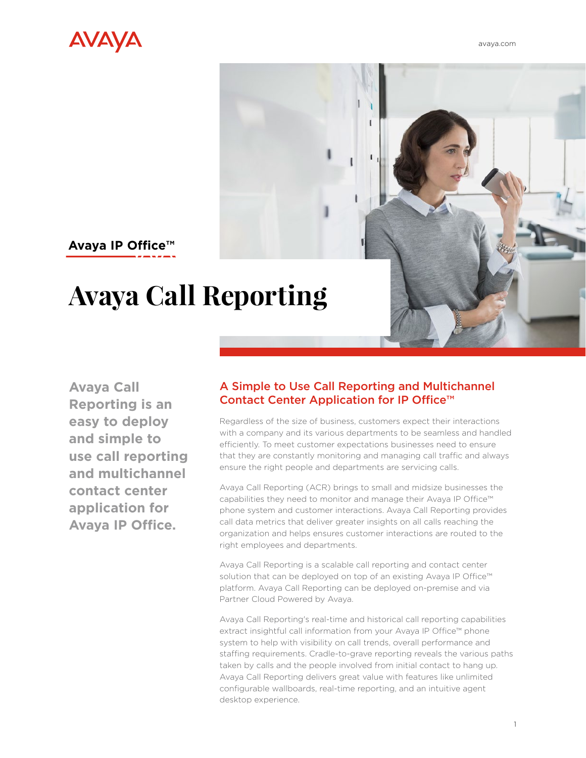[avaya.com](http://www.avaya.com/en)





**Avaya Call Reporting is an easy to deploy and simple to use call reporting and multichannel contact center application for Avaya IP Office.**

# A Simple to Use Call Reporting and Multichannel Contact Center Application for IP Office™

Regardless of the size of business, customers expect their interactions with a company and its various departments to be seamless and handled efficiently. To meet customer expectations businesses need to ensure that they are constantly monitoring and managing call traffic and always ensure the right people and departments are servicing calls.

Avaya Call Reporting (ACR) brings to small and midsize businesses the capabilities they need to monitor and manage their Avaya IP Office™ phone system and customer interactions. Avaya Call Reporting provides call data metrics that deliver greater insights on all calls reaching the organization and helps ensures customer interactions are routed to the right employees and departments.

Avaya Call Reporting is a scalable call reporting and contact center solution that can be deployed on top of an existing Avaya IP Office™ platform. Avaya Call Reporting can be deployed on-premise and via Partner Cloud Powered by Avaya.

Avaya Call Reporting's real-time and historical call reporting capabilities extract insightful call information from your Avaya IP Office™ phone system to help with visibility on call trends, overall performance and staffing requirements. Cradle-to-grave reporting reveals the various paths taken by calls and the people involved from initial contact to hang up. Avaya Call Reporting delivers great value with features like unlimited configurable wallboards, real-time reporting, and an intuitive agent desktop experience.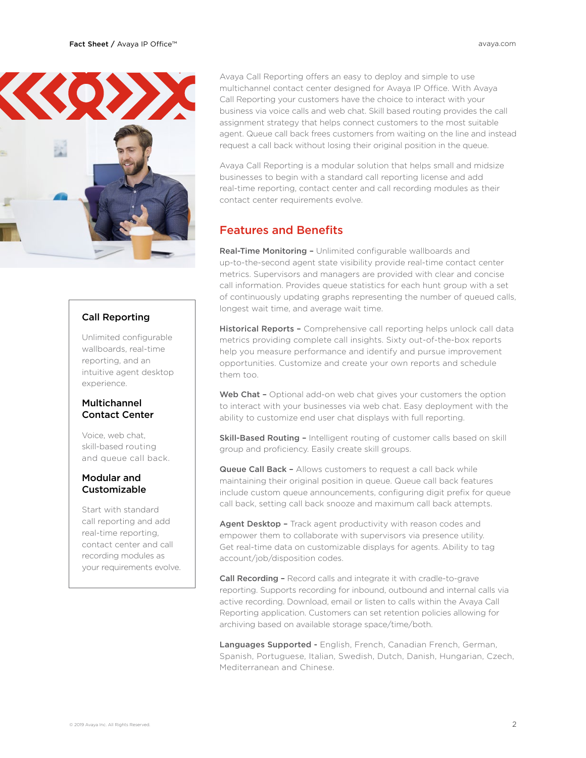

#### Call Reporting

Unlimited configurable wallboards, real-time reporting, and an intuitive agent desktop experience.

#### Multichannel Contact Center

Voice, web chat, skill-based routing and queue call back.

#### Modular and Customizable

Start with standard call reporting and add real-time reporting, contact center and call recording modules as your requirements evolve.

Avaya Call Reporting offers an easy to deploy and simple to use multichannel contact center designed for Avaya IP Office. With Avaya Call Reporting your customers have the choice to interact with your business via voice calls and web chat. Skill based routing provides the call assignment strategy that helps connect customers to the most suitable agent. Queue call back frees customers from waiting on the line and instead request a call back without losing their original position in the queue.

Avaya Call Reporting is a modular solution that helps small and midsize businesses to begin with a standard call reporting license and add real-time reporting, contact center and call recording modules as their contact center requirements evolve.

# Features and Benefits

Real-Time Monitoring – Unlimited configurable wallboards and up-to-the-second agent state visibility provide real-time contact center metrics. Supervisors and managers are provided with clear and concise call information. Provides queue statistics for each hunt group with a set of continuously updating graphs representing the number of queued calls, longest wait time, and average wait time.

Historical Reports - Comprehensive call reporting helps unlock call data metrics providing complete call insights. Sixty out-of-the-box reports help you measure performance and identify and pursue improvement opportunities. Customize and create your own reports and schedule them too.

Web Chat - Optional add-on web chat gives your customers the option to interact with your businesses via web chat. Easy deployment with the ability to customize end user chat displays with full reporting.

Skill-Based Routing - Intelligent routing of customer calls based on skill group and proficiency. Easily create skill groups.

Queue Call Back - Allows customers to request a call back while maintaining their original position in queue. Queue call back features include custom queue announcements, configuring digit prefix for queue call back, setting call back snooze and maximum call back attempts.

Agent Desktop - Track agent productivity with reason codes and empower them to collaborate with supervisors via presence utility. Get real-time data on customizable displays for agents. Ability to tag account/job/disposition codes.

Call Recording - Record calls and integrate it with cradle-to-grave reporting. Supports recording for inbound, outbound and internal calls via active recording. Download, email or listen to calls within the Avaya Call Reporting application. Customers can set retention policies allowing for archiving based on available storage space/time/both.

Languages Supported - English, French, Canadian French, German, Spanish, Portuguese, Italian, Swedish, Dutch, Danish, Hungarian, Czech, Mediterranean and Chinese.